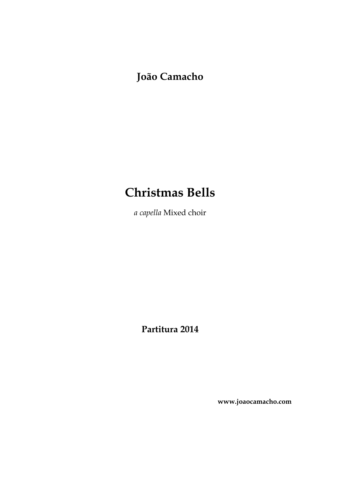**João Camacho**

## **Christmas Bells**

*a capella* Mixed choir

**Partitura 2014**

**www.joaocamacho.com**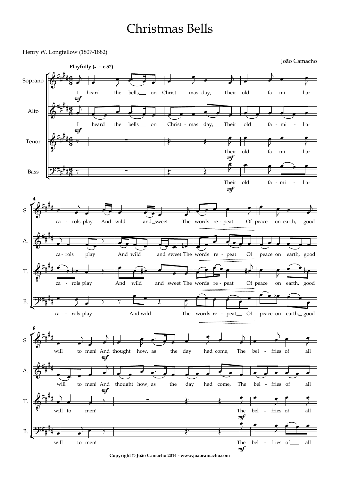## Christmas Bells

Henry W. Longfellow (1807-1882)



**Copyright © João Camacho 2014 - www.joaocamacho.com**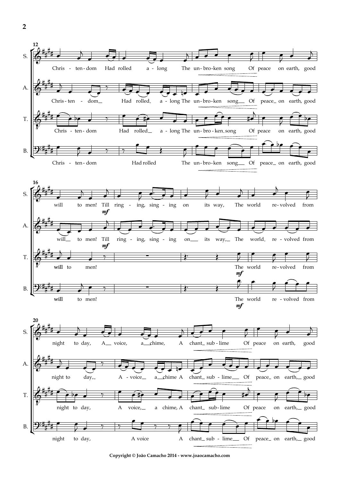

**Copyright © João Camacho 2014 - www.joaocamacho.com**

**2**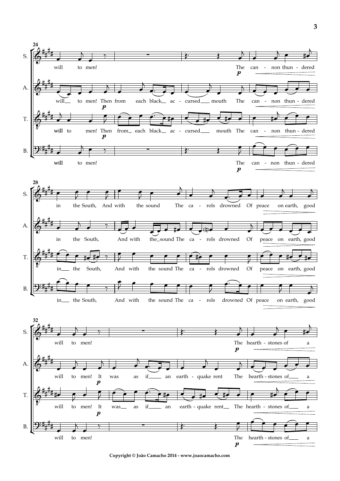

**Copyright © João Camacho 2014 - www.joaocamacho.com**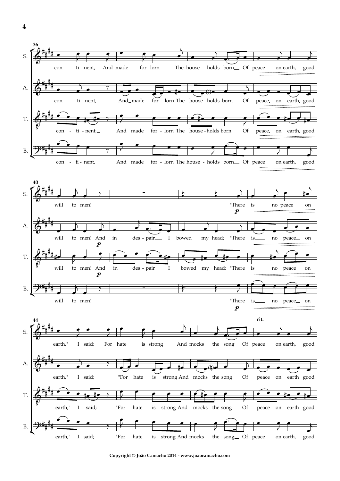

**Copyright © João Camacho 2014 - www.joaocamacho.com**

**4**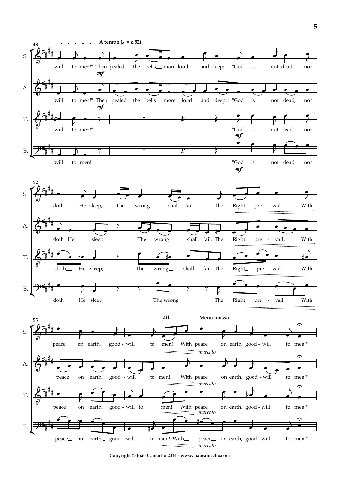

**Copyright © João Camacho 2014 - www.joaocamacho.com**